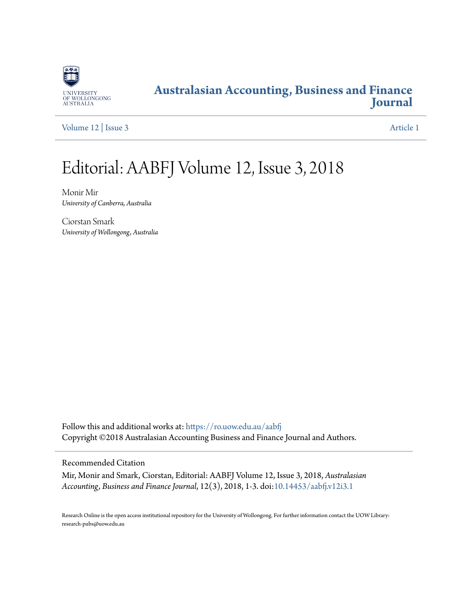

### **[Australasian Accounting, Business and Finance](https://ro.uow.edu.au/aabfj?utm_source=ro.uow.edu.au%2Faabfj%2Fvol12%2Fiss3%2F1&utm_medium=PDF&utm_campaign=PDFCoverPages) [Journal](https://ro.uow.edu.au/aabfj?utm_source=ro.uow.edu.au%2Faabfj%2Fvol12%2Fiss3%2F1&utm_medium=PDF&utm_campaign=PDFCoverPages)**

[Volume 12](https://ro.uow.edu.au/aabfj/vol12?utm_source=ro.uow.edu.au%2Faabfj%2Fvol12%2Fiss3%2F1&utm_medium=PDF&utm_campaign=PDFCoverPages) | [Issue 3](https://ro.uow.edu.au/aabfj/vol12/iss3?utm_source=ro.uow.edu.au%2Faabfj%2Fvol12%2Fiss3%2F1&utm_medium=PDF&utm_campaign=PDFCoverPages) [Article 1](https://ro.uow.edu.au/aabfj/vol12/iss3/1?utm_source=ro.uow.edu.au%2Faabfj%2Fvol12%2Fiss3%2F1&utm_medium=PDF&utm_campaign=PDFCoverPages)

# Editorial: AABFJ Volume 12, Issue 3, 2018

Monir Mir *University of Canberra, Australia*

Ciorstan Smark *University of Wollongong, Australia*

Follow this and additional works at: [https://ro.uow.edu.au/aabfj](https://ro.uow.edu.au/aabfj?utm_source=ro.uow.edu.au%2Faabfj%2Fvol12%2Fiss3%2F1&utm_medium=PDF&utm_campaign=PDFCoverPages) Copyright ©2018 Australasian Accounting Business and Finance Journal and Authors.

Recommended Citation

Mir, Monir and Smark, Ciorstan, Editorial: AABFJ Volume 12, Issue 3, 2018, *Australasian Accounting, Business and Finance Journal*, 12(3), 2018, 1-3. doi:[10.14453/aabfj.v12i3.1](http://dx.doi.org/10.14453/aabfj.v12i3.1)

Research Online is the open access institutional repository for the University of Wollongong. For further information contact the UOW Library: research-pubs@uow.edu.au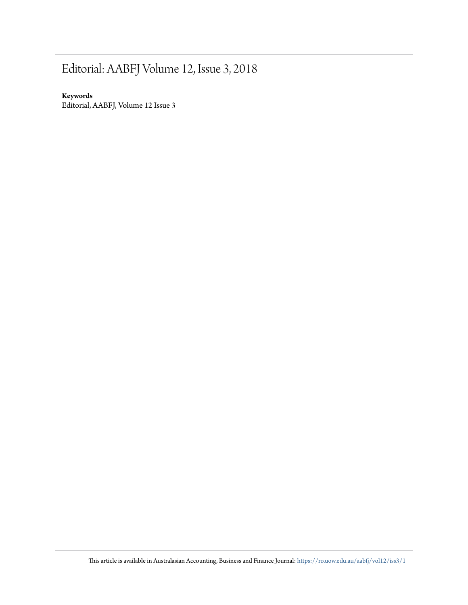## Editorial: AABFJ Volume 12, Issue 3, 2018

#### **Keywords**

Editorial, AABFJ, Volume 12 Issue 3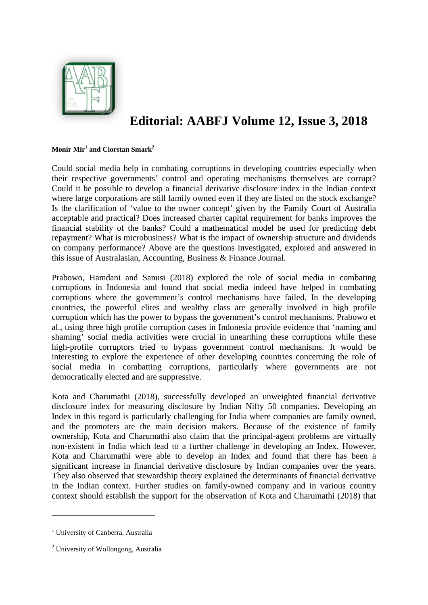

### **Editorial: AABFJ Volume 12, Issue 3, 2018**

#### $\mathbf{Monir} \ \mathbf{Mir}^{1}$  and Ciorstan Smark<sup>2</sup>

Could social media help in combating corruptions in developing countries especially when their respective governments' control and operating mechanisms themselves are corrupt? Could it be possible to develop a financial derivative disclosure index in the Indian context where large corporations are still family owned even if they are listed on the stock exchange? Is the clarification of 'value to the owner concept' given by the Family Court of Australia acceptable and practical? Does increased charter capital requirement for banks improves the financial stability of the banks? Could a mathematical model be used for predicting debt repayment? What is microbusiness? What is the impact of ownership structure and dividends on company performance? Above are the questions investigated, explored and answered in this issue of Australasian, Accounting, Business & Finance Journal.

Prabowo, Hamdani and Sanusi (2018) explored the role of social media in combating corruptions in Indonesia and found that social media indeed have helped in combating corruptions where the government's control mechanisms have failed. In the developing countries, the powerful elites and wealthy class are generally involved in high profile corruption which has the power to bypass the government's control mechanisms. Prabowo et al., using three high profile corruption cases in Indonesia provide evidence that 'naming and shaming' social media activities were crucial in unearthing these corruptions while these high-profile corruptors tried to bypass government control mechanisms. It would be interesting to explore the experience of other developing countries concerning the role of social media in combatting corruptions, particularly where governments are not democratically elected and are suppressive.

Kota and Charumathi (2018), successfully developed an unweighted financial derivative disclosure index for measuring disclosure by Indian Nifty 50 companies. Developing an Index in this regard is particularly challenging for India where companies are family owned, and the promoters are the main decision makers. Because of the existence of family ownership, Kota and Charumathi also claim that the principal-agent problems are virtually non-existent in India which lead to a further challenge in developing an Index. However, Kota and Charumathi were able to develop an Index and found that there has been a significant increase in financial derivative disclosure by Indian companies over the years. They also observed that stewardship theory explained the determinants of financial derivative in the Indian context. Further studies on family-owned company and in various country context should establish the support for the observation of Kota and Charumathi (2018) that

<sup>&</sup>lt;sup>1</sup> University of Canberra, Australia

<sup>&</sup>lt;sup>2</sup> University of Wollongong, Australia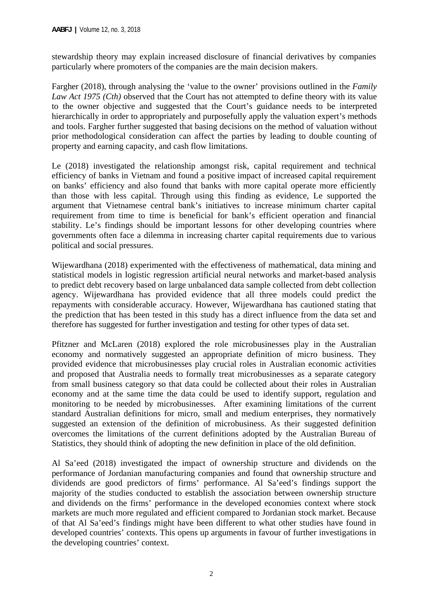stewardship theory may explain increased disclosure of financial derivatives by companies particularly where promoters of the companies are the main decision makers.

Fargher (2018), through analysing the 'value to the owner' provisions outlined in the *Family Law Act 1975 (Cth)* observed that the Court has not attempted to define theory with its value to the owner objective and suggested that the Court's guidance needs to be interpreted hierarchically in order to appropriately and purposefully apply the valuation expert's methods and tools. Fargher further suggested that basing decisions on the method of valuation without prior methodological consideration can affect the parties by leading to double counting of property and earning capacity, and cash flow limitations.

Le (2018) investigated the relationship amongst risk, capital requirement and technical efficiency of banks in Vietnam and found a positive impact of increased capital requirement on banks' efficiency and also found that banks with more capital operate more efficiently than those with less capital. Through using this finding as evidence, Le supported the argument that Vietnamese central bank's initiatives to increase minimum charter capital requirement from time to time is beneficial for bank's efficient operation and financial stability. Le's findings should be important lessons for other developing countries where governments often face a dilemma in increasing charter capital requirements due to various political and social pressures.

Wijewardhana (2018) experimented with the effectiveness of mathematical, data mining and statistical models in logistic regression artificial neural networks and market-based analysis to predict debt recovery based on large unbalanced data sample collected from debt collection agency. Wijewardhana has provided evidence that all three models could predict the repayments with considerable accuracy. However, Wijewardhana has cautioned stating that the prediction that has been tested in this study has a direct influence from the data set and therefore has suggested for further investigation and testing for other types of data set.

Pfitzner and McLaren (2018) explored the role microbusinesses play in the Australian economy and normatively suggested an appropriate definition of micro business. They provided evidence that microbusinesses play crucial roles in Australian economic activities and proposed that Australia needs to formally treat microbusinesses as a separate category from small business category so that data could be collected about their roles in Australian economy and at the same time the data could be used to identify support, regulation and monitoring to be needed by microbusinesses. After examining limitations of the current standard Australian definitions for micro, small and medium enterprises, they normatively suggested an extension of the definition of microbusiness. As their suggested definition overcomes the limitations of the current definitions adopted by the Australian Bureau of Statistics, they should think of adopting the new definition in place of the old definition.

Al Sa'eed (2018) investigated the impact of ownership structure and dividends on the performance of Jordanian manufacturing companies and found that ownership structure and dividends are good predictors of firms' performance. Al Sa'eed's findings support the majority of the studies conducted to establish the association between ownership structure and dividends on the firms' performance in the developed economies context where stock markets are much more regulated and efficient compared to Jordanian stock market. Because of that Al Sa'eed's findings might have been different to what other studies have found in developed countries' contexts. This opens up arguments in favour of further investigations in the developing countries' context.